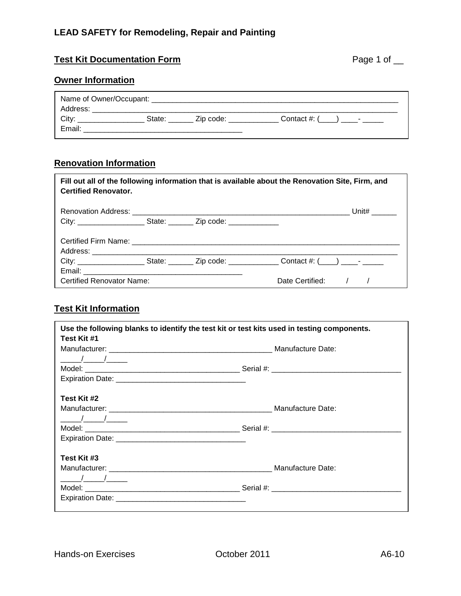### **LEAD SAFETY for Remodeling, Repair and Painting**

#### Test Kit Documentation Form **Page 1 of Line Structure 1 of Line Structure 1 of Line Structure 1 of Line Structure 1 of Line Structure 1 of Line Structure 1 of Line Structure 1 of Line Structure 1 of Line Structure 1 of Lin**

#### **Owner Information**

| Zip code:<br>Contact $\#$ : $($ ) -<br>State: |  |
|-----------------------------------------------|--|
|                                               |  |

#### **Renovation Information**

| Fill out all of the following information that is available about the Renovation Site, Firm, and<br><b>Certified Renovator.</b> |  |  |                                                                                                                     |  |  |  |  |  |
|---------------------------------------------------------------------------------------------------------------------------------|--|--|---------------------------------------------------------------------------------------------------------------------|--|--|--|--|--|
|                                                                                                                                 |  |  |                                                                                                                     |  |  |  |  |  |
|                                                                                                                                 |  |  |                                                                                                                     |  |  |  |  |  |
|                                                                                                                                 |  |  |                                                                                                                     |  |  |  |  |  |
|                                                                                                                                 |  |  |                                                                                                                     |  |  |  |  |  |
|                                                                                                                                 |  |  | City: ________________________State: ________________Zip code: _____________________Contact #: (____) _____- ______ |  |  |  |  |  |
|                                                                                                                                 |  |  |                                                                                                                     |  |  |  |  |  |
| Certified Renovator Name:                                                                                                       |  |  | Date Certified: / /                                                                                                 |  |  |  |  |  |

## **Test Kit Information**

| Use the following blanks to identify the test kit or test kits used in testing components.                                                                                                                                                                                                                          |  |  |  |  |  |  |
|---------------------------------------------------------------------------------------------------------------------------------------------------------------------------------------------------------------------------------------------------------------------------------------------------------------------|--|--|--|--|--|--|
| Test Kit #1                                                                                                                                                                                                                                                                                                         |  |  |  |  |  |  |
|                                                                                                                                                                                                                                                                                                                     |  |  |  |  |  |  |
| $\frac{1}{\sqrt{2}}$                                                                                                                                                                                                                                                                                                |  |  |  |  |  |  |
|                                                                                                                                                                                                                                                                                                                     |  |  |  |  |  |  |
|                                                                                                                                                                                                                                                                                                                     |  |  |  |  |  |  |
| Test Kit #2                                                                                                                                                                                                                                                                                                         |  |  |  |  |  |  |
|                                                                                                                                                                                                                                                                                                                     |  |  |  |  |  |  |
|                                                                                                                                                                                                                                                                                                                     |  |  |  |  |  |  |
|                                                                                                                                                                                                                                                                                                                     |  |  |  |  |  |  |
|                                                                                                                                                                                                                                                                                                                     |  |  |  |  |  |  |
| Test Kit #3                                                                                                                                                                                                                                                                                                         |  |  |  |  |  |  |
|                                                                                                                                                                                                                                                                                                                     |  |  |  |  |  |  |
| $\frac{1}{2}$ $\frac{1}{2}$ $\frac{1}{2}$ $\frac{1}{2}$ $\frac{1}{2}$ $\frac{1}{2}$ $\frac{1}{2}$ $\frac{1}{2}$ $\frac{1}{2}$ $\frac{1}{2}$ $\frac{1}{2}$ $\frac{1}{2}$ $\frac{1}{2}$ $\frac{1}{2}$ $\frac{1}{2}$ $\frac{1}{2}$ $\frac{1}{2}$ $\frac{1}{2}$ $\frac{1}{2}$ $\frac{1}{2}$ $\frac{1}{2}$ $\frac{1}{2}$ |  |  |  |  |  |  |
|                                                                                                                                                                                                                                                                                                                     |  |  |  |  |  |  |
|                                                                                                                                                                                                                                                                                                                     |  |  |  |  |  |  |
|                                                                                                                                                                                                                                                                                                                     |  |  |  |  |  |  |